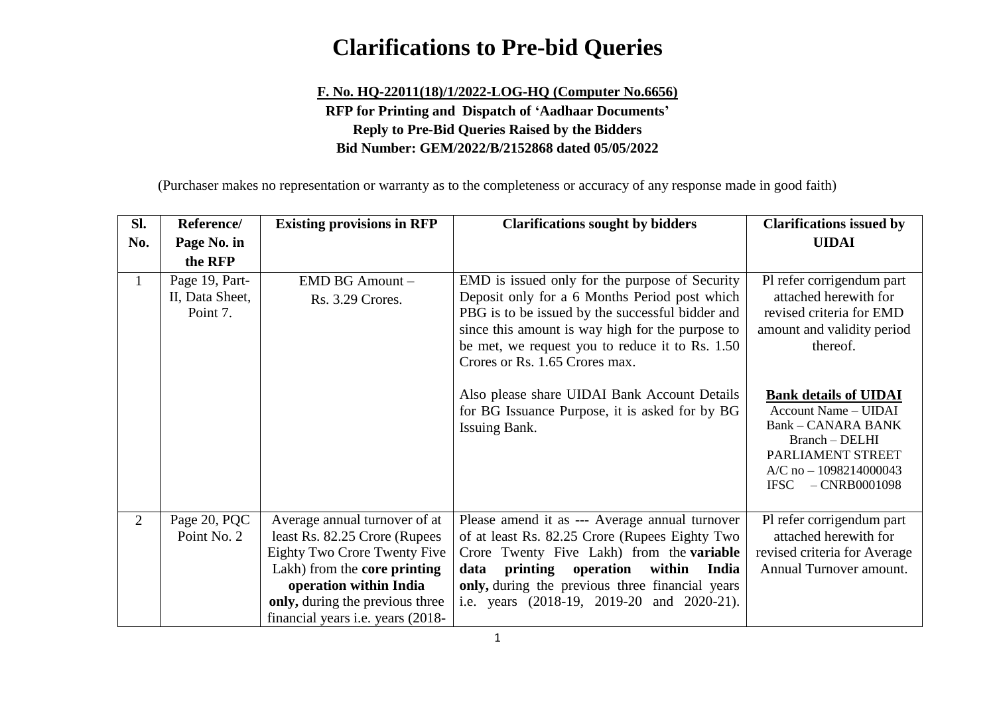# **Clarifications to Pre-bid Queries**

### **F. No. HQ-22011(18)/1/2022-LOG-HQ (Computer No.6656) RFP for Printing and Dispatch of 'Aadhaar Documents' Reply to Pre-Bid Queries Raised by the Bidders Bid Number: GEM/2022/B/2152868 dated 05/05/2022**

(Purchaser makes no representation or warranty as to the completeness or accuracy of any response made in good faith)

| SI.            | Reference/                                                                          | <b>Existing provisions in RFP</b>                                                                                                                                                                                                                      | <b>Clarifications sought by bidders</b>                                                                                                                                                                                                                                                                   | <b>Clarifications issued by</b>                                                                                                                                                                  |
|----------------|-------------------------------------------------------------------------------------|--------------------------------------------------------------------------------------------------------------------------------------------------------------------------------------------------------------------------------------------------------|-----------------------------------------------------------------------------------------------------------------------------------------------------------------------------------------------------------------------------------------------------------------------------------------------------------|--------------------------------------------------------------------------------------------------------------------------------------------------------------------------------------------------|
| No.            | Page No. in                                                                         |                                                                                                                                                                                                                                                        |                                                                                                                                                                                                                                                                                                           | <b>UIDAI</b>                                                                                                                                                                                     |
|                | the RFP                                                                             |                                                                                                                                                                                                                                                        |                                                                                                                                                                                                                                                                                                           |                                                                                                                                                                                                  |
|                | Page 19, Part-<br>EMD BG Amount-<br>II, Data Sheet,<br>Rs. 3.29 Crores.<br>Point 7. |                                                                                                                                                                                                                                                        | EMD is issued only for the purpose of Security<br>Deposit only for a 6 Months Period post which<br>PBG is to be issued by the successful bidder and<br>since this amount is way high for the purpose to<br>be met, we request you to reduce it to Rs. 1.50<br>Crores or Rs. 1.65 Crores max.              | Pl refer corrigendum part<br>attached herewith for<br>revised criteria for EMD<br>amount and validity period<br>thereof.                                                                         |
|                |                                                                                     |                                                                                                                                                                                                                                                        | Also please share UIDAI Bank Account Details<br>for BG Issuance Purpose, it is asked for by BG<br>Issuing Bank.                                                                                                                                                                                           | <b>Bank details of UIDAI</b><br><b>Account Name - UIDAI</b><br><b>Bank - CANARA BANK</b><br>$Branch - DELHI$<br>PARLIAMENT STREET<br>$A/C$ no $- 1098214000043$<br><b>IFSC</b><br>$-CNRB0001098$ |
| $\overline{2}$ | Page 20, PQC<br>Point No. 2                                                         | Average annual turnover of at<br>least Rs. 82.25 Crore (Rupees)<br><b>Eighty Two Crore Twenty Five</b><br>Lakh) from the <b>core printing</b><br>operation within India<br>only, during the previous three<br>financial years <i>i.e.</i> years (2018- | Please amend it as --- Average annual turnover<br>of at least Rs. 82.25 Crore (Rupees Eighty Two<br>Crore Twenty Five Lakh) from the <b>variable</b><br>India<br>data<br>printing<br>operation<br>within<br>only, during the previous three financial years<br>i.e. years (2018-19, 2019-20 and 2020-21). | Pl refer corrigendum part<br>attached herewith for<br>revised criteria for Average<br>Annual Turnover amount.                                                                                    |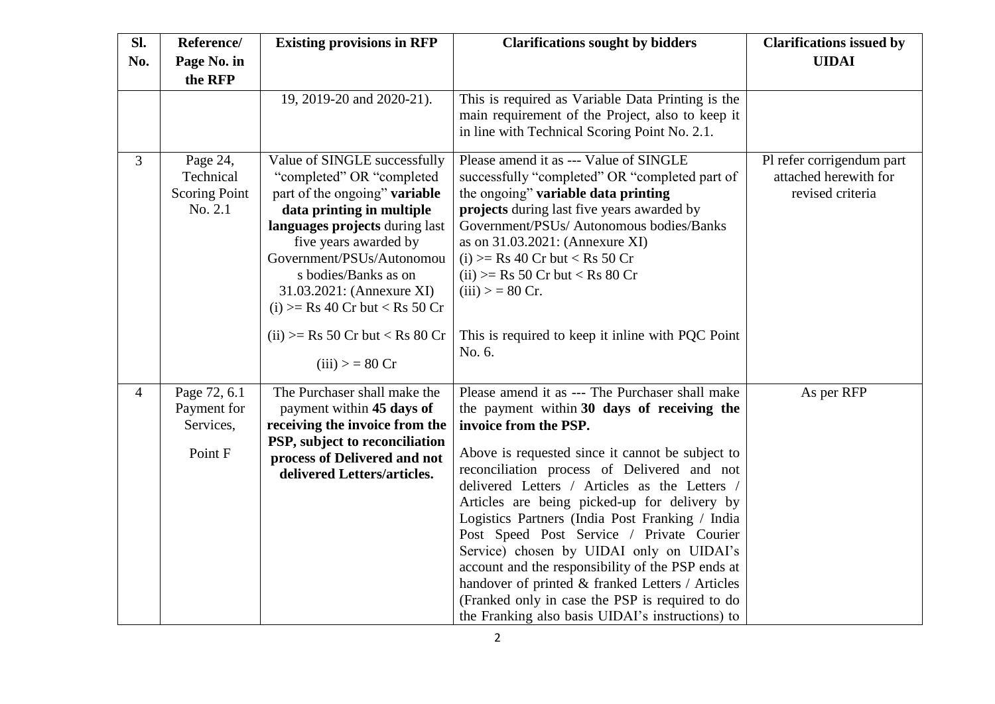| SI.            | Reference/           | <b>Existing provisions in RFP</b>                              | <b>Clarifications sought by bidders</b>                                                | <b>Clarifications issued by</b> |
|----------------|----------------------|----------------------------------------------------------------|----------------------------------------------------------------------------------------|---------------------------------|
| No.            | Page No. in          |                                                                |                                                                                        | <b>UIDAI</b>                    |
|                | the RFP              |                                                                |                                                                                        |                                 |
|                |                      | 19, 2019-20 and 2020-21).                                      | This is required as Variable Data Printing is the                                      |                                 |
|                |                      |                                                                | main requirement of the Project, also to keep it                                       |                                 |
|                |                      |                                                                | in line with Technical Scoring Point No. 2.1.                                          |                                 |
| 3              | Page 24,             | Value of SINGLE successfully                                   | Please amend it as --- Value of SINGLE                                                 | Pl refer corrigendum part       |
|                | Technical            | "completed" OR "completed"                                     | successfully "completed" OR "completed part of                                         | attached herewith for           |
|                | <b>Scoring Point</b> | part of the ongoing" variable                                  | the ongoing" variable data printing                                                    | revised criteria                |
|                | No. 2.1              | data printing in multiple<br>languages projects during last    | projects during last five years awarded by<br>Government/PSUs/ Autonomous bodies/Banks |                                 |
|                |                      | five years awarded by                                          | as on 31.03.2021: (Annexure XI)                                                        |                                 |
|                |                      | Government/PSUs/Autonomou                                      | $(i)$ >= Rs 40 Cr but < Rs 50 Cr                                                       |                                 |
|                |                      | s bodies/Banks as on                                           | $(ii) \geq Rs$ 50 Cr but < Rs 80 Cr                                                    |                                 |
|                |                      | 31.03.2021: (Annexure XI)                                      | $(iii) > 80$ Cr.                                                                       |                                 |
|                |                      | $(i)$ >= Rs 40 Cr but < Rs 50 Cr                               |                                                                                        |                                 |
|                |                      | $(ii) \geq Rs$ 50 Cr but < Rs 80 Cr                            | This is required to keep it in line with PQC Point                                     |                                 |
|                |                      |                                                                | No. 6.                                                                                 |                                 |
|                |                      | (iii) > 80 Cr                                                  |                                                                                        |                                 |
| $\overline{4}$ | Page 72, 6.1         | The Purchaser shall make the                                   | Please amend it as --- The Purchaser shall make                                        | As per RFP                      |
|                | Payment for          | payment within 45 days of                                      | the payment within 30 days of receiving the                                            |                                 |
|                | Services,            | receiving the invoice from the                                 | invoice from the PSP.                                                                  |                                 |
|                | Point F              | PSP, subject to reconciliation<br>process of Delivered and not | Above is requested since it cannot be subject to                                       |                                 |
|                |                      | delivered Letters/articles.                                    | reconciliation process of Delivered and not                                            |                                 |
|                |                      |                                                                | delivered Letters / Articles as the Letters /                                          |                                 |
|                |                      |                                                                | Articles are being picked-up for delivery by                                           |                                 |
|                |                      |                                                                | Logistics Partners (India Post Franking / India                                        |                                 |
|                |                      |                                                                | Post Speed Post Service / Private Courier<br>Service) chosen by UIDAI only on UIDAI's  |                                 |
|                |                      |                                                                | account and the responsibility of the PSP ends at                                      |                                 |
|                |                      |                                                                | handover of printed & franked Letters / Articles                                       |                                 |
|                |                      |                                                                | (Franked only in case the PSP is required to do                                        |                                 |
|                |                      |                                                                | the Franking also basis UIDAI's instructions) to                                       |                                 |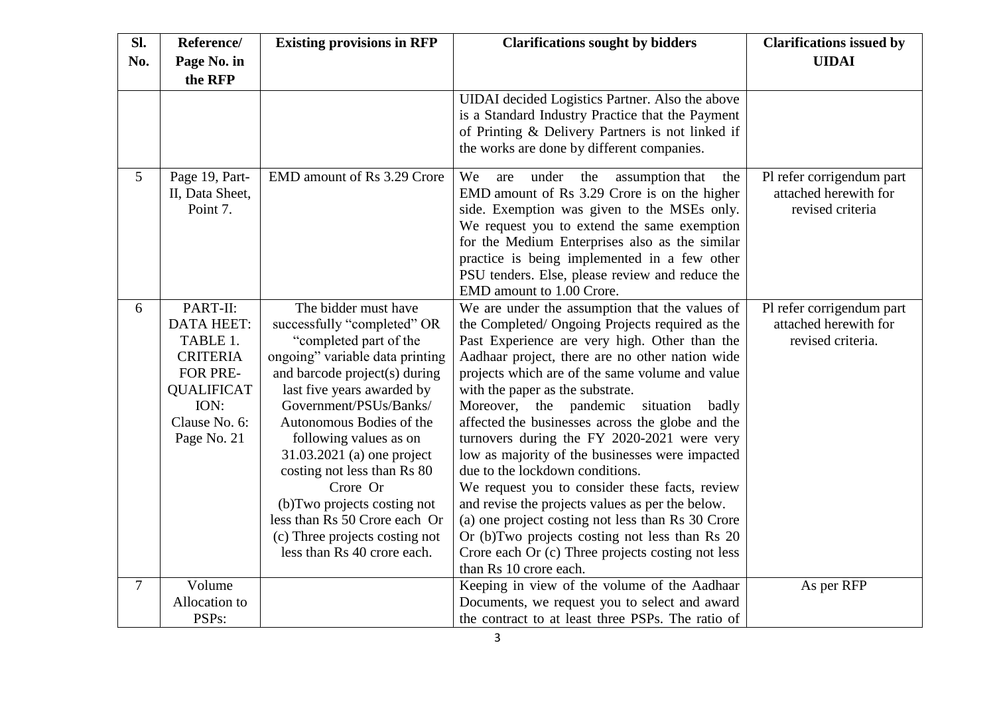| Sl.            | Reference/        | <b>Existing provisions in RFP</b> | <b>Clarifications sought by bidders</b>             | <b>Clarifications issued by</b> |
|----------------|-------------------|-----------------------------------|-----------------------------------------------------|---------------------------------|
| No.            | Page No. in       |                                   |                                                     | <b>UIDAI</b>                    |
|                | the RFP           |                                   |                                                     |                                 |
|                |                   |                                   | UIDAI decided Logistics Partner. Also the above     |                                 |
|                |                   |                                   | is a Standard Industry Practice that the Payment    |                                 |
|                |                   |                                   | of Printing & Delivery Partners is not linked if    |                                 |
|                |                   |                                   | the works are done by different companies.          |                                 |
| 5              | Page 19, Part-    | EMD amount of Rs 3.29 Crore       | We<br>under<br>the<br>assumption that<br>are<br>the | Pl refer corrigendum part       |
|                | II, Data Sheet,   |                                   | EMD amount of Rs 3.29 Crore is on the higher        | attached herewith for           |
|                | Point 7.          |                                   | side. Exemption was given to the MSEs only.         | revised criteria                |
|                |                   |                                   | We request you to extend the same exemption         |                                 |
|                |                   |                                   | for the Medium Enterprises also as the similar      |                                 |
|                |                   |                                   | practice is being implemented in a few other        |                                 |
|                |                   |                                   | PSU tenders. Else, please review and reduce the     |                                 |
|                |                   |                                   | EMD amount to 1.00 Crore.                           |                                 |
| 6              | PART-II:          | The bidder must have              | We are under the assumption that the values of      | Pl refer corrigendum part       |
|                | <b>DATA HEET:</b> | successfully "completed" OR       | the Completed/ Ongoing Projects required as the     | attached herewith for           |
|                | TABLE 1.          | "completed part of the            | Past Experience are very high. Other than the       | revised criteria.               |
|                | <b>CRITERIA</b>   | ongoing" variable data printing   | Aadhaar project, there are no other nation wide     |                                 |
|                | FOR PRE-          | and barcode project(s) during     | projects which are of the same volume and value     |                                 |
|                | <b>QUALIFICAT</b> | last five years awarded by        | with the paper as the substrate.                    |                                 |
|                | ION:              | Government/PSUs/Banks/            | Moreover, the pandemic<br>situation<br>badly        |                                 |
|                | Clause No. 6:     | Autonomous Bodies of the          | affected the businesses across the globe and the    |                                 |
|                | Page No. 21       | following values as on            | turnovers during the FY 2020-2021 were very         |                                 |
|                |                   | 31.03.2021 (a) one project        | low as majority of the businesses were impacted     |                                 |
|                |                   | costing not less than Rs 80       | due to the lockdown conditions.                     |                                 |
|                |                   | Crore Or                          | We request you to consider these facts, review      |                                 |
|                |                   | (b) Two projects costing not      | and revise the projects values as per the below.    |                                 |
|                |                   | less than Rs 50 Crore each Or     | (a) one project costing not less than Rs 30 Crore   |                                 |
|                |                   | (c) Three projects costing not    | Or (b)Two projects costing not less than Rs 20      |                                 |
|                |                   | less than Rs 40 crore each.       | Crore each Or (c) Three projects costing not less   |                                 |
|                |                   |                                   | than Rs 10 crore each.                              |                                 |
| $\overline{7}$ | Volume            |                                   | Keeping in view of the volume of the Aadhaar        | As per RFP                      |
|                | Allocation to     |                                   | Documents, we request you to select and award       |                                 |
|                | PSPs:             |                                   | the contract to at least three PSPs. The ratio of   |                                 |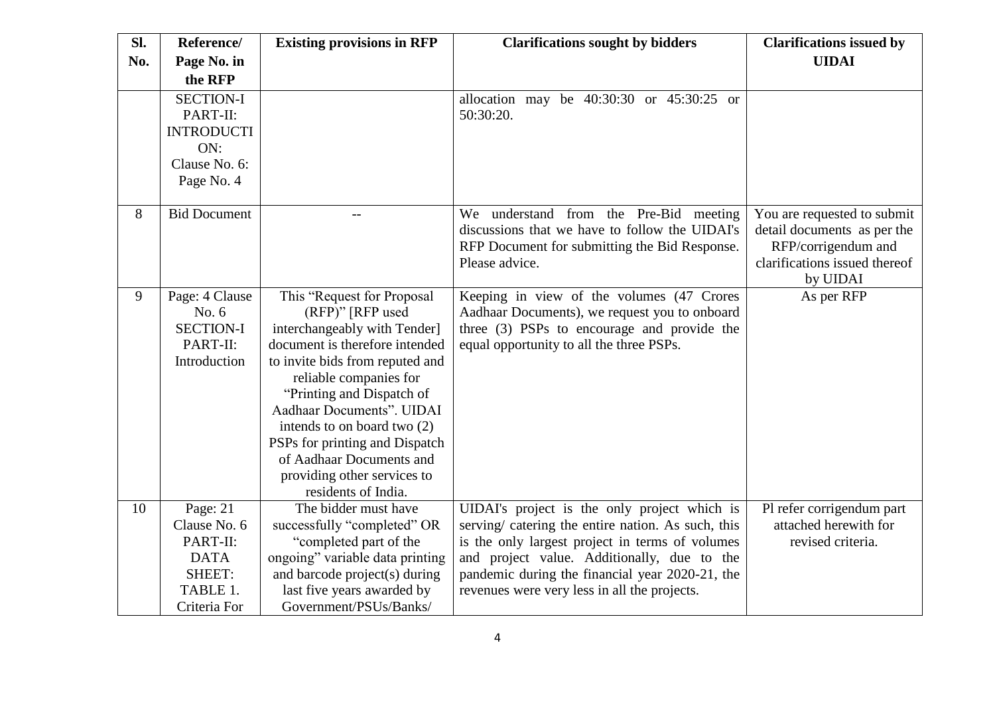| Sl. | Reference/          | <b>Existing provisions in RFP</b> | <b>Clarifications sought by bidders</b>            | <b>Clarifications issued by</b> |
|-----|---------------------|-----------------------------------|----------------------------------------------------|---------------------------------|
| No. | Page No. in         |                                   |                                                    | <b>UIDAI</b>                    |
|     | the RFP             |                                   |                                                    |                                 |
|     | <b>SECTION-I</b>    |                                   | allocation may be $40:30:30$ or $45:30:25$ or      |                                 |
|     | PART-II:            |                                   | 50:30:20.                                          |                                 |
|     | <b>INTRODUCTI</b>   |                                   |                                                    |                                 |
|     | ON:                 |                                   |                                                    |                                 |
|     | Clause No. 6:       |                                   |                                                    |                                 |
|     | Page No. 4          |                                   |                                                    |                                 |
|     |                     |                                   |                                                    |                                 |
| 8   | <b>Bid Document</b> | $-$                               | We understand from the Pre-Bid meeting             | You are requested to submit     |
|     |                     |                                   | discussions that we have to follow the UIDAI's     | detail documents as per the     |
|     |                     |                                   | RFP Document for submitting the Bid Response.      | RFP/corrigendum and             |
|     |                     |                                   | Please advice.                                     | clarifications issued thereof   |
|     |                     |                                   |                                                    | by UIDAI                        |
| 9   | Page: 4 Clause      | This "Request for Proposal        | Keeping in view of the volumes (47 Crores          | As per RFP                      |
|     | No. 6               | (RFP)" [RFP used                  | Aadhaar Documents), we request you to onboard      |                                 |
|     | <b>SECTION-I</b>    | interchangeably with Tender]      | three (3) PSPs to encourage and provide the        |                                 |
|     | PART-II:            | document is therefore intended    | equal opportunity to all the three PSPs.           |                                 |
|     | Introduction        | to invite bids from reputed and   |                                                    |                                 |
|     |                     | reliable companies for            |                                                    |                                 |
|     |                     | "Printing and Dispatch of         |                                                    |                                 |
|     |                     | Aadhaar Documents". UIDAI         |                                                    |                                 |
|     |                     | intends to on board two $(2)$     |                                                    |                                 |
|     |                     | PSPs for printing and Dispatch    |                                                    |                                 |
|     |                     | of Aadhaar Documents and          |                                                    |                                 |
|     |                     | providing other services to       |                                                    |                                 |
|     |                     | residents of India.               |                                                    |                                 |
| 10  | Page: 21            | The bidder must have              | UIDAI's project is the only project which is       | Pl refer corrigendum part       |
|     | Clause No. 6        | successfully "completed" OR       | serving/ catering the entire nation. As such, this | attached herewith for           |
|     | PART-II:            | "completed part of the            | is the only largest project in terms of volumes    | revised criteria.               |
|     | <b>DATA</b>         | ongoing" variable data printing   | and project value. Additionally, due to the        |                                 |
|     | SHEET:              | and barcode project(s) during     | pandemic during the financial year 2020-21, the    |                                 |
|     | TABLE 1.            | last five years awarded by        | revenues were very less in all the projects.       |                                 |
|     | Criteria For        | Government/PSUs/Banks/            |                                                    |                                 |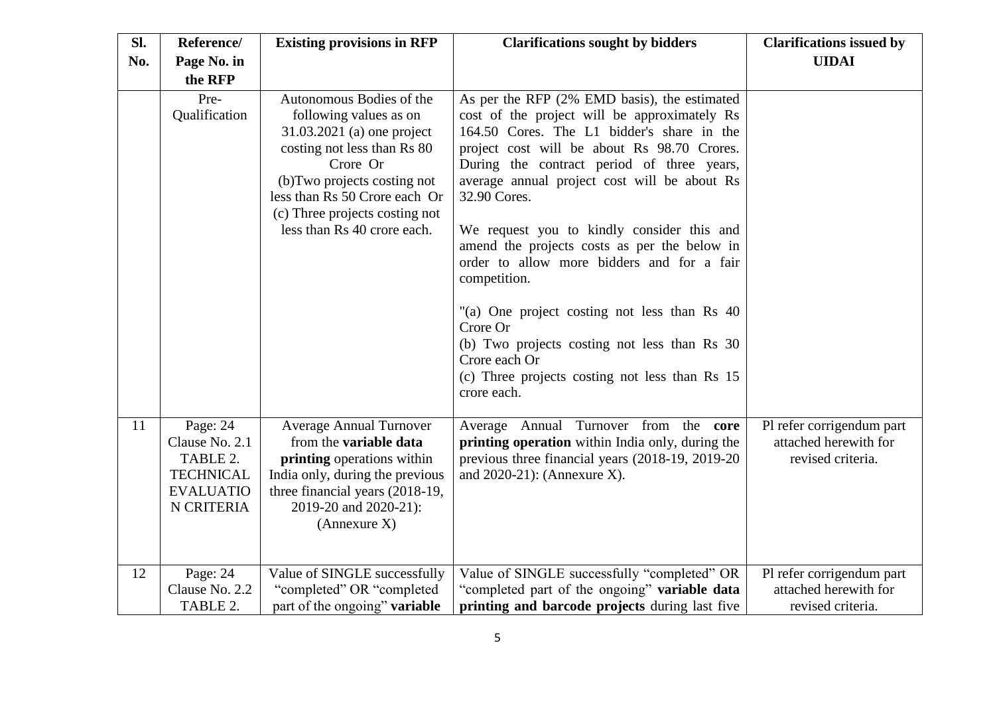| SI. | Reference/                                                                                   | <b>Existing provisions in RFP</b>                                                                                                                                                                                                                             | <b>Clarifications sought by bidders</b>                                                                                                                                                                                                                                                                                                                                                                                                                                                                                                                                                                                                                           | <b>Clarifications issued by</b>                                         |
|-----|----------------------------------------------------------------------------------------------|---------------------------------------------------------------------------------------------------------------------------------------------------------------------------------------------------------------------------------------------------------------|-------------------------------------------------------------------------------------------------------------------------------------------------------------------------------------------------------------------------------------------------------------------------------------------------------------------------------------------------------------------------------------------------------------------------------------------------------------------------------------------------------------------------------------------------------------------------------------------------------------------------------------------------------------------|-------------------------------------------------------------------------|
| No. | Page No. in                                                                                  |                                                                                                                                                                                                                                                               |                                                                                                                                                                                                                                                                                                                                                                                                                                                                                                                                                                                                                                                                   | <b>UIDAI</b>                                                            |
|     | the RFP                                                                                      |                                                                                                                                                                                                                                                               |                                                                                                                                                                                                                                                                                                                                                                                                                                                                                                                                                                                                                                                                   |                                                                         |
|     | Pre-<br>Qualification                                                                        | Autonomous Bodies of the<br>following values as on<br>31.03.2021 (a) one project<br>costing not less than Rs 80<br>Crore Or<br>(b) Two projects costing not<br>less than Rs 50 Crore each Or<br>(c) Three projects costing not<br>less than Rs 40 crore each. | As per the RFP (2% EMD basis), the estimated<br>cost of the project will be approximately Rs<br>164.50 Cores. The L1 bidder's share in the<br>project cost will be about Rs 98.70 Crores.<br>During the contract period of three years,<br>average annual project cost will be about Rs<br>32.90 Cores.<br>We request you to kindly consider this and<br>amend the projects costs as per the below in<br>order to allow more bidders and for a fair<br>competition.<br>"(a) One project costing not less than Rs 40<br>Crore Or<br>(b) Two projects costing not less than Rs 30<br>Crore each Or<br>(c) Three projects costing not less than Rs 15<br>crore each. |                                                                         |
| 11  | Page: 24<br>Clause No. 2.1<br>TABLE 2.<br><b>TECHNICAL</b><br><b>EVALUATIO</b><br>N CRITERIA | <b>Average Annual Turnover</b><br>from the variable data<br>printing operations within<br>India only, during the previous<br>three financial years (2018-19,<br>2019-20 and 2020-21):<br>(Annexure X)                                                         | Average Annual Turnover from the core<br>printing operation within India only, during the<br>previous three financial years (2018-19, 2019-20)<br>and $2020-21$ : (Annexure X).                                                                                                                                                                                                                                                                                                                                                                                                                                                                                   | Pl refer corrigendum part<br>attached herewith for<br>revised criteria. |
| 12  | Page: 24<br>Clause No. 2.2<br>TABLE 2.                                                       | Value of SINGLE successfully<br>"completed" OR "completed<br>part of the ongoing" variable                                                                                                                                                                    | Value of SINGLE successfully "completed" OR<br>"completed part of the ongoing" variable data<br>printing and barcode projects during last five                                                                                                                                                                                                                                                                                                                                                                                                                                                                                                                    | Pl refer corrigendum part<br>attached herewith for<br>revised criteria. |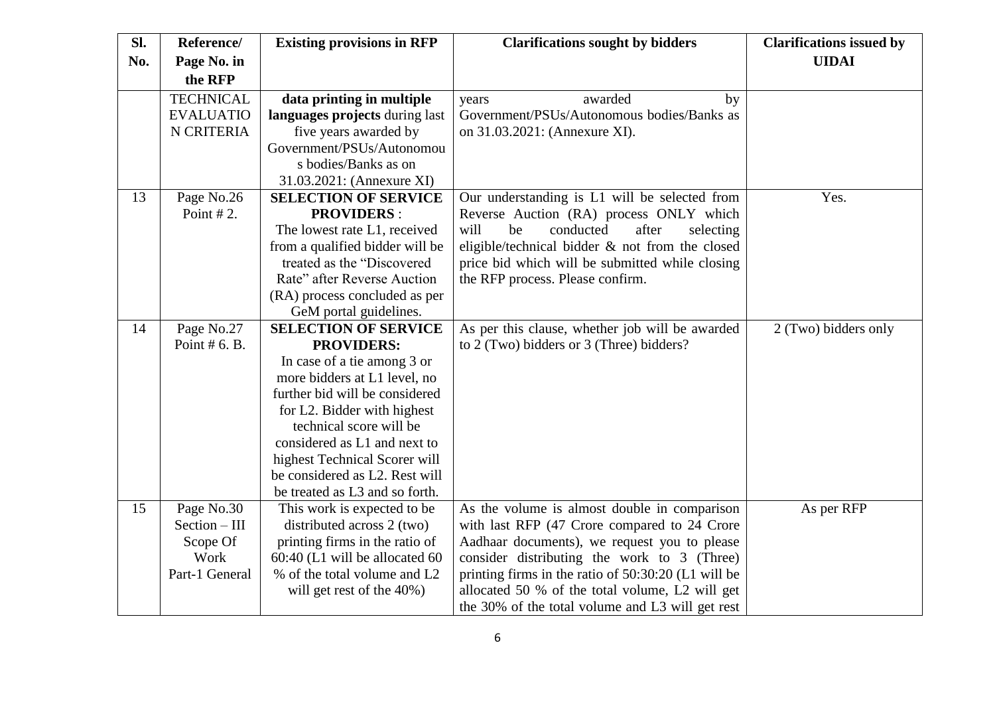| SI. | Reference/       | <b>Existing provisions in RFP</b> | <b>Clarifications sought by bidders</b>             | <b>Clarifications issued by</b> |
|-----|------------------|-----------------------------------|-----------------------------------------------------|---------------------------------|
| No. | Page No. in      |                                   |                                                     | <b>UIDAI</b>                    |
|     | the RFP          |                                   |                                                     |                                 |
|     | <b>TECHNICAL</b> | data printing in multiple         | awarded<br>by<br>years                              |                                 |
|     | <b>EVALUATIO</b> | languages projects during last    | Government/PSUs/Autonomous bodies/Banks as          |                                 |
|     | N CRITERIA       | five years awarded by             | on 31.03.2021: (Annexure XI).                       |                                 |
|     |                  | Government/PSUs/Autonomou         |                                                     |                                 |
|     |                  | s bodies/Banks as on              |                                                     |                                 |
|     |                  | 31.03.2021: (Annexure XI)         |                                                     |                                 |
| 13  | Page No.26       | <b>SELECTION OF SERVICE</b>       | Our understanding is L1 will be selected from       | Yes.                            |
|     | Point $# 2$ .    | <b>PROVIDERS:</b>                 | Reverse Auction (RA) process ONLY which             |                                 |
|     |                  | The lowest rate L1, received      | conducted<br>will<br>be<br>after<br>selecting       |                                 |
|     |                  | from a qualified bidder will be   | eligible/technical bidder & not from the closed     |                                 |
|     |                  | treated as the "Discovered"       | price bid which will be submitted while closing     |                                 |
|     |                  | Rate" after Reverse Auction       | the RFP process. Please confirm.                    |                                 |
|     |                  | (RA) process concluded as per     |                                                     |                                 |
|     |                  | GeM portal guidelines.            |                                                     |                                 |
| 14  | Page No.27       | <b>SELECTION OF SERVICE</b>       | As per this clause, whether job will be awarded     | 2 (Two) bidders only            |
|     | Point $# 6. B.$  | <b>PROVIDERS:</b>                 | to 2 (Two) bidders or 3 (Three) bidders?            |                                 |
|     |                  | In case of a tie among 3 or       |                                                     |                                 |
|     |                  | more bidders at L1 level, no      |                                                     |                                 |
|     |                  | further bid will be considered    |                                                     |                                 |
|     |                  | for L2. Bidder with highest       |                                                     |                                 |
|     |                  | technical score will be           |                                                     |                                 |
|     |                  | considered as L1 and next to      |                                                     |                                 |
|     |                  | highest Technical Scorer will     |                                                     |                                 |
|     |                  | be considered as L2. Rest will    |                                                     |                                 |
|     |                  | be treated as L3 and so forth.    |                                                     |                                 |
| 15  | Page No.30       | This work is expected to be       | As the volume is almost double in comparison        | As per RFP                      |
|     | $Section - III$  | distributed across 2 (two)        | with last RFP (47 Crore compared to 24 Crore        |                                 |
|     | Scope Of         | printing firms in the ratio of    | Aadhaar documents), we request you to please        |                                 |
|     | Work             | 60:40 (L1 will be allocated 60    | consider distributing the work to 3 (Three)         |                                 |
|     | Part-1 General   | % of the total volume and L2      | printing firms in the ratio of 50:30:20 (L1 will be |                                 |
|     |                  | will get rest of the 40%)         | allocated 50 % of the total volume, L2 will get     |                                 |
|     |                  |                                   | the 30% of the total volume and L3 will get rest    |                                 |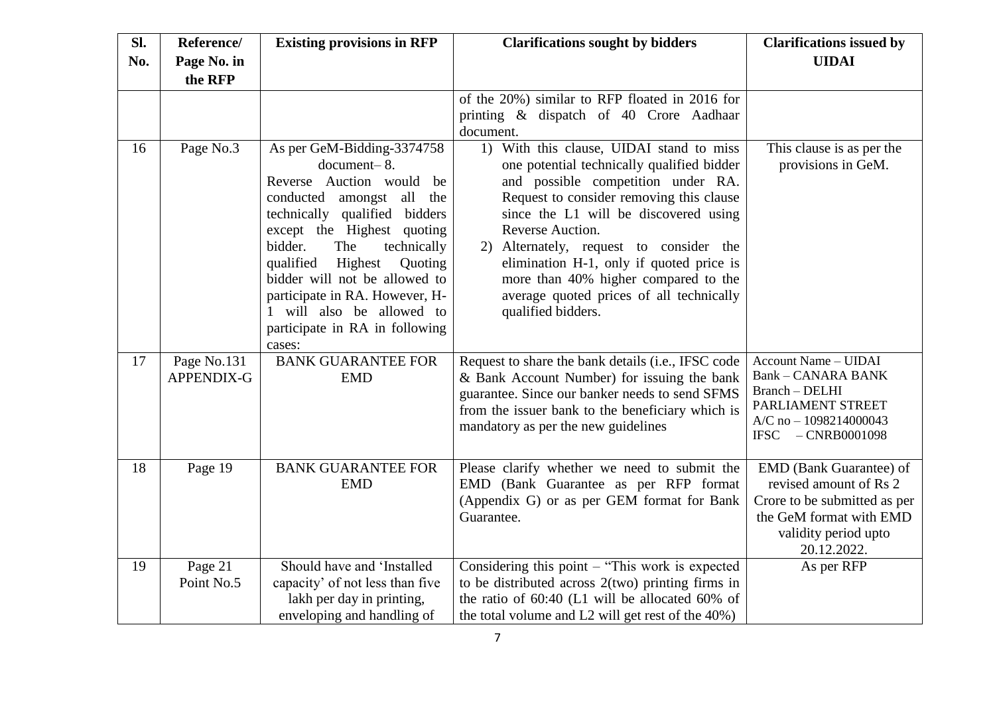| Sl. | Reference/                | <b>Existing provisions in RFP</b>                                                                                                                                                                                                                                                                                                                                                    | <b>Clarifications sought by bidders</b>                                                                                                                                                                                                                                                                                                                                                                                                   | <b>Clarifications issued by</b>                                                                                                                     |
|-----|---------------------------|--------------------------------------------------------------------------------------------------------------------------------------------------------------------------------------------------------------------------------------------------------------------------------------------------------------------------------------------------------------------------------------|-------------------------------------------------------------------------------------------------------------------------------------------------------------------------------------------------------------------------------------------------------------------------------------------------------------------------------------------------------------------------------------------------------------------------------------------|-----------------------------------------------------------------------------------------------------------------------------------------------------|
| No. | Page No. in<br>the RFP    |                                                                                                                                                                                                                                                                                                                                                                                      |                                                                                                                                                                                                                                                                                                                                                                                                                                           | <b>UIDAI</b>                                                                                                                                        |
|     |                           |                                                                                                                                                                                                                                                                                                                                                                                      | of the 20%) similar to RFP floated in 2016 for<br>printing & dispatch of 40 Crore Aadhaar<br>document.                                                                                                                                                                                                                                                                                                                                    |                                                                                                                                                     |
| 16  | Page No.3                 | As per GeM-Bidding-3374758<br>document-8.<br>Reverse Auction would be<br>conducted<br>amongst all the<br>technically qualified bidders<br>except the Highest quoting<br>bidder.<br>The<br>technically<br>qualified<br>Highest<br>Quoting<br>bidder will not be allowed to<br>participate in RA. However, H-<br>1 will also be allowed to<br>participate in RA in following<br>cases: | 1) With this clause, UIDAI stand to miss<br>one potential technically qualified bidder<br>and possible competition under RA.<br>Request to consider removing this clause<br>since the L1 will be discovered using<br>Reverse Auction.<br>Alternately, request to consider the<br>2)<br>elimination H-1, only if quoted price is<br>more than 40% higher compared to the<br>average quoted prices of all technically<br>qualified bidders. | This clause is as per the<br>provisions in GeM.                                                                                                     |
| 17  | Page No.131<br>APPENDIX-G | <b>BANK GUARANTEE FOR</b><br><b>EMD</b>                                                                                                                                                                                                                                                                                                                                              | Request to share the bank details (i.e., IFSC code<br>& Bank Account Number) for issuing the bank<br>guarantee. Since our banker needs to send SFMS<br>from the issuer bank to the beneficiary which is<br>mandatory as per the new guidelines                                                                                                                                                                                            | Account Name - UIDAI<br>Bank - CANARA BANK<br>Branch - DELHI<br>PARLIAMENT STREET<br>$A/C$ no $- 1098214000043$<br>IFSC $-CNRB0001098$              |
| 18  | Page 19                   | <b>BANK GUARANTEE FOR</b><br><b>EMD</b>                                                                                                                                                                                                                                                                                                                                              | Please clarify whether we need to submit the<br>EMD (Bank Guarantee as per RFP format<br>(Appendix G) or as per GEM format for Bank<br>Guarantee.                                                                                                                                                                                                                                                                                         | EMD (Bank Guarantee) of<br>revised amount of Rs 2<br>Crore to be submitted as per<br>the GeM format with EMD<br>validity period upto<br>20.12.2022. |
| 19  | Page 21<br>Point No.5     | Should have and 'Installed<br>capacity' of not less than five<br>lakh per day in printing,<br>enveloping and handling of                                                                                                                                                                                                                                                             | Considering this point – "This work is expected<br>to be distributed across $2$ (two) printing firms in<br>the ratio of 60:40 (L1 will be allocated 60% of<br>the total volume and L2 will get rest of the 40%)                                                                                                                                                                                                                           | As per RFP                                                                                                                                          |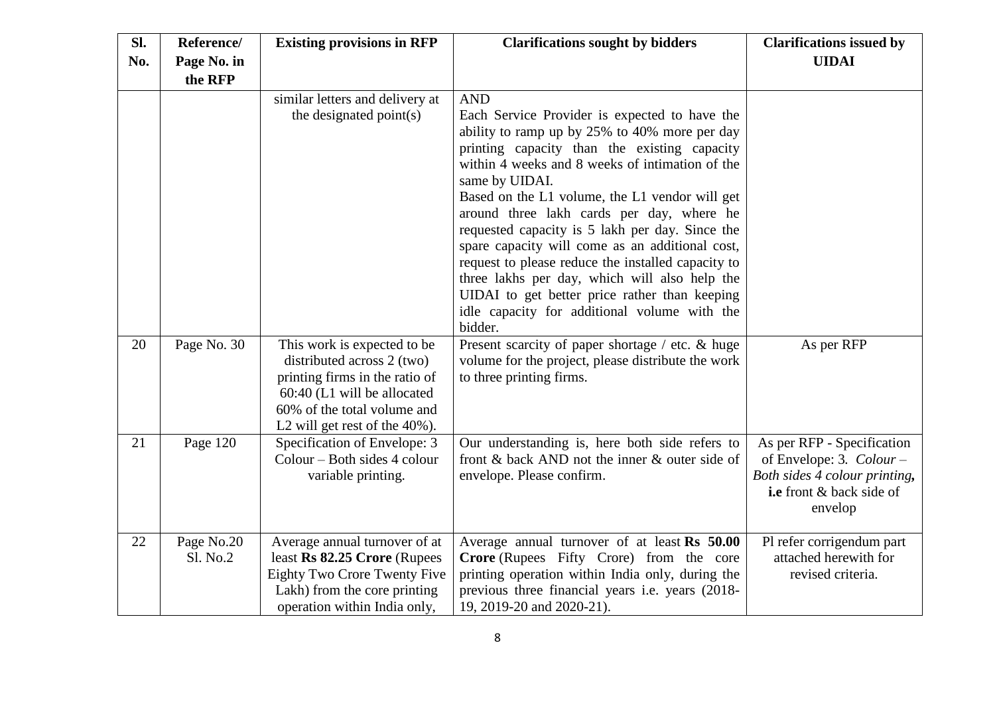| <b>Clarifications issued by</b> |
|---------------------------------|
| <b>UIDAI</b>                    |
|                                 |
|                                 |
|                                 |
|                                 |
|                                 |
|                                 |
|                                 |
|                                 |
|                                 |
|                                 |
|                                 |
|                                 |
|                                 |
|                                 |
| As per RFP                      |
|                                 |
|                                 |
|                                 |
|                                 |
| As per RFP - Specification      |
| of Envelope: 3. $Colour -$      |
| Both sides 4 colour printing,   |
| i.e front & back side of        |
| envelop                         |
|                                 |
| Pl refer corrigendum part       |
| attached herewith for           |
|                                 |
|                                 |
| revised criteria.               |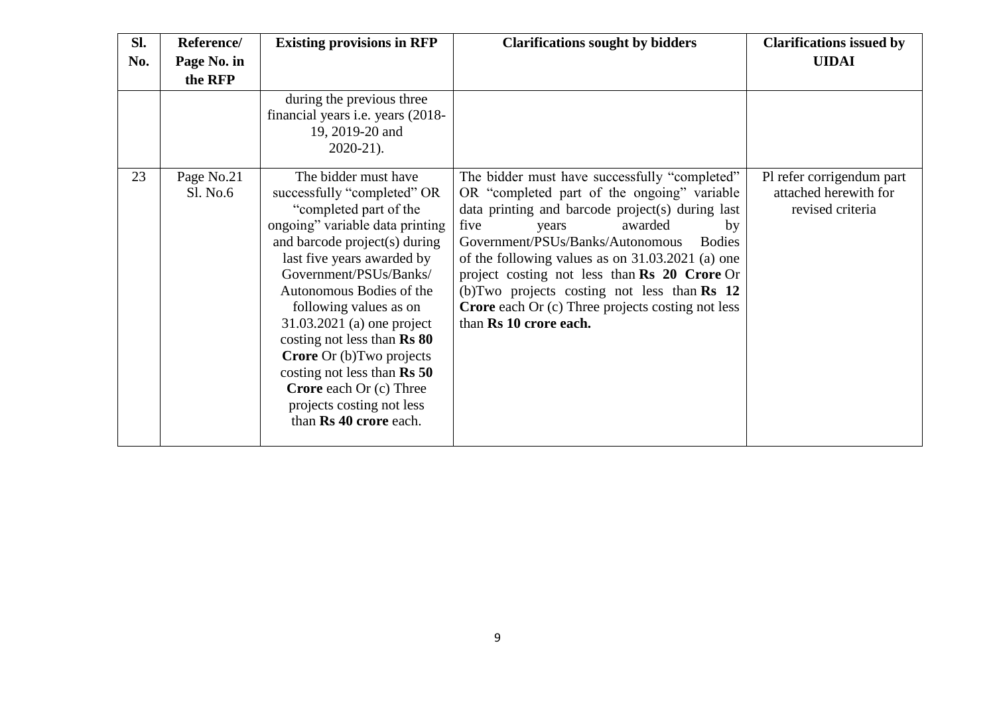| SI. | Reference/             | <b>Existing provisions in RFP</b>                                                                                                                                                                                                                                                                                                                                                                                                                                                                  | <b>Clarifications sought by bidders</b>                                                                                                                                                                                                                                                                                                                                                                                                                                                      | <b>Clarifications issued by</b>                                        |
|-----|------------------------|----------------------------------------------------------------------------------------------------------------------------------------------------------------------------------------------------------------------------------------------------------------------------------------------------------------------------------------------------------------------------------------------------------------------------------------------------------------------------------------------------|----------------------------------------------------------------------------------------------------------------------------------------------------------------------------------------------------------------------------------------------------------------------------------------------------------------------------------------------------------------------------------------------------------------------------------------------------------------------------------------------|------------------------------------------------------------------------|
| No. | Page No. in            |                                                                                                                                                                                                                                                                                                                                                                                                                                                                                                    |                                                                                                                                                                                                                                                                                                                                                                                                                                                                                              | <b>UIDAI</b>                                                           |
|     | the RFP                |                                                                                                                                                                                                                                                                                                                                                                                                                                                                                                    |                                                                                                                                                                                                                                                                                                                                                                                                                                                                                              |                                                                        |
|     |                        | during the previous three<br>financial years i.e. years (2018-<br>19, 2019-20 and<br>$2020-21$ ).                                                                                                                                                                                                                                                                                                                                                                                                  |                                                                                                                                                                                                                                                                                                                                                                                                                                                                                              |                                                                        |
| 23  | Page No.21<br>Sl. No.6 | The bidder must have<br>successfully "completed" OR<br>"completed part of the<br>ongoing" variable data printing<br>and barcode project(s) during<br>last five years awarded by<br>Government/PSUs/Banks/<br>Autonomous Bodies of the<br>following values as on<br>31.03.2021 (a) one project<br>costing not less than Rs 80<br><b>Crore</b> Or (b) Two projects<br>costing not less than $\text{Rs } 50$<br><b>Crore</b> each Or (c) Three<br>projects costing not less<br>than Rs 40 crore each. | The bidder must have successfully "completed"<br>OR "completed part of the ongoing" variable<br>data printing and barcode project(s) during last<br>five<br>awarded<br>by<br>years<br>Government/PSUs/Banks/Autonomous<br><b>Bodies</b><br>of the following values as on 31.03.2021 (a) one<br>project costing not less than Rs 20 Crore Or<br>(b) Two projects costing not less than $\mathbf{Rs}$ 12<br><b>Crore</b> each Or (c) Three projects costing not less<br>than Rs 10 crore each. | Pl refer corrigendum part<br>attached herewith for<br>revised criteria |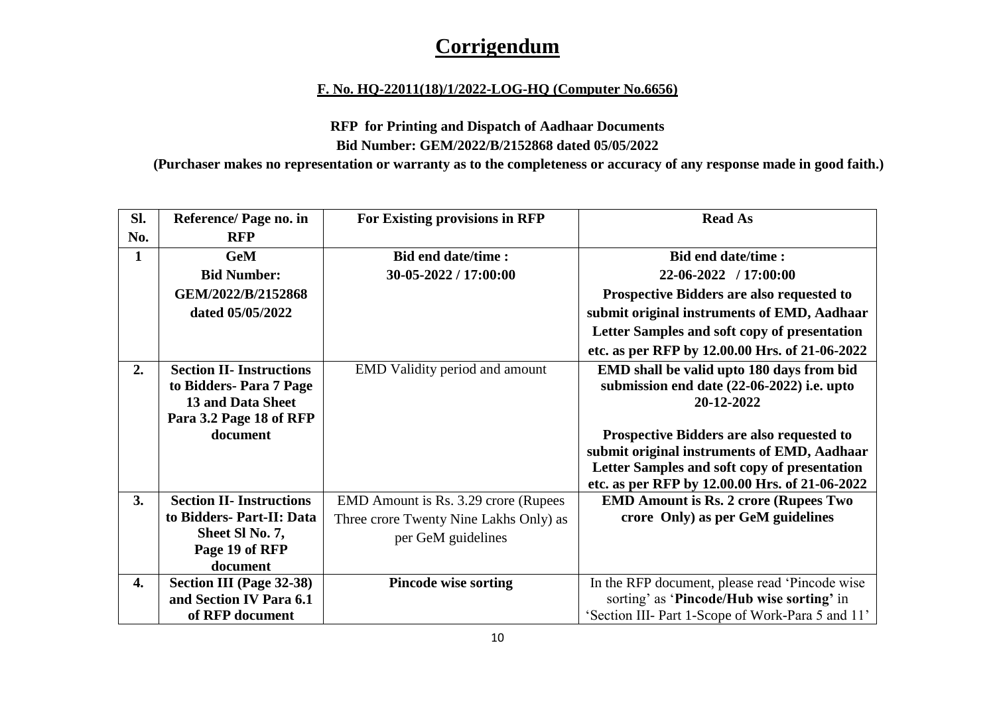## **Corrigendum**

#### **F. No. HQ-22011(18)/1/2022-LOG-HQ (Computer No.6656)**

### **RFP for Printing and Dispatch of Aadhaar Documents Bid Number: GEM/2022/B/2152868 dated 05/05/2022**

**(Purchaser makes no representation or warranty as to the completeness or accuracy of any response made in good faith.)**

| Sl.          | Reference/ Page no. in          | For Existing provisions in RFP         | <b>Read As</b>                                    |
|--------------|---------------------------------|----------------------------------------|---------------------------------------------------|
| No.          | <b>RFP</b>                      |                                        |                                                   |
| $\mathbf{1}$ | <b>GeM</b>                      | <b>Bid end date/time:</b>              | Bid end date/time:                                |
|              | <b>Bid Number:</b>              | 30-05-2022 / 17:00:00                  | $22-06-2022$ / 17:00:00                           |
|              | GEM/2022/B/2152868              |                                        | Prospective Bidders are also requested to         |
|              | dated 05/05/2022                |                                        | submit original instruments of EMD, Aadhaar       |
|              |                                 |                                        | Letter Samples and soft copy of presentation      |
|              |                                 |                                        | etc. as per RFP by 12.00.00 Hrs. of 21-06-2022    |
| 2.           | <b>Section II- Instructions</b> | EMD Validity period and amount         | EMD shall be valid upto 180 days from bid         |
|              | to Bidders-Para 7 Page          |                                        | submission end date (22-06-2022) i.e. upto        |
|              | 13 and Data Sheet               |                                        | 20-12-2022                                        |
|              | Para 3.2 Page 18 of RFP         |                                        |                                                   |
|              | document                        |                                        | <b>Prospective Bidders are also requested to</b>  |
|              |                                 |                                        | submit original instruments of EMD, Aadhaar       |
|              |                                 |                                        | Letter Samples and soft copy of presentation      |
|              |                                 |                                        | etc. as per RFP by 12.00.00 Hrs. of 21-06-2022    |
| 3.           | <b>Section II- Instructions</b> | EMD Amount is Rs. 3.29 crore (Rupees)  | <b>EMD Amount is Rs. 2 crore (Rupees Two</b>      |
|              | to Bidders- Part-II: Data       | Three crore Twenty Nine Lakhs Only) as | crore Only) as per GeM guidelines                 |
|              | Sheet SI No. 7,                 | per GeM guidelines                     |                                                   |
|              | Page 19 of RFP                  |                                        |                                                   |
|              | document                        |                                        |                                                   |
| 4.           | <b>Section III (Page 32-38)</b> | <b>Pincode wise sorting</b>            | In the RFP document, please read 'Pincode wise    |
|              | and Section IV Para 6.1         |                                        | sorting' as 'Pincode/Hub wise sorting' in         |
|              | of RFP document                 |                                        | 'Section III- Part 1-Scope of Work-Para 5 and 11' |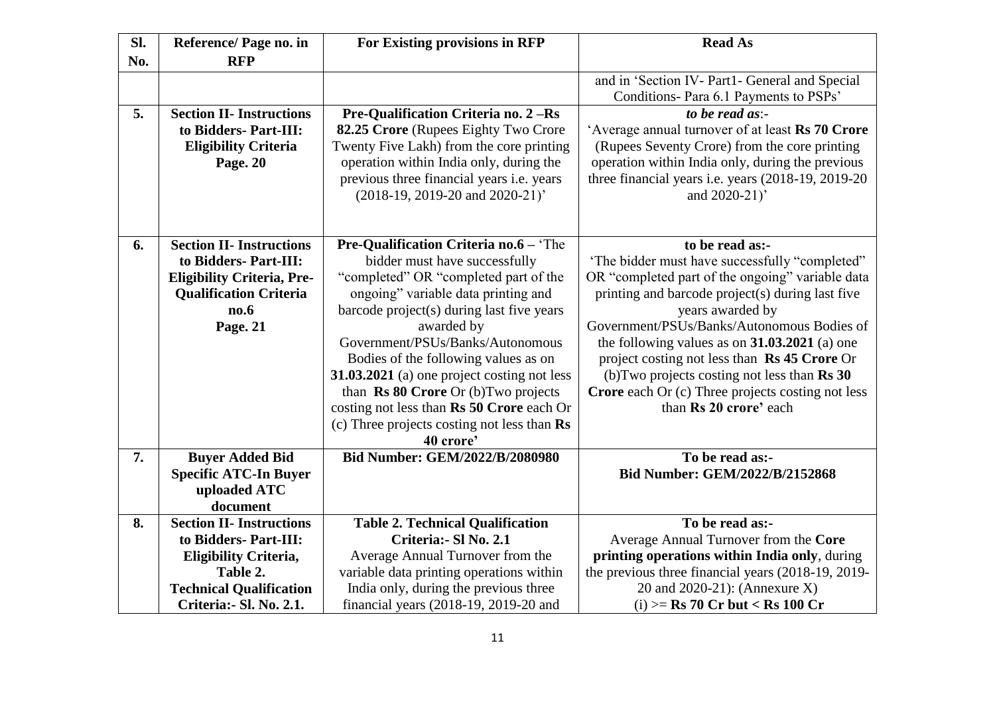| Sl. | Reference/ Page no. in                                                                                                                             | For Existing provisions in RFP                                                                                                                                                                                                                                                                                                                                                                                                                                                                        | <b>Read As</b>                                                                                                                                                                                                                                                                                                                                                                                                                                                                                 |
|-----|----------------------------------------------------------------------------------------------------------------------------------------------------|-------------------------------------------------------------------------------------------------------------------------------------------------------------------------------------------------------------------------------------------------------------------------------------------------------------------------------------------------------------------------------------------------------------------------------------------------------------------------------------------------------|------------------------------------------------------------------------------------------------------------------------------------------------------------------------------------------------------------------------------------------------------------------------------------------------------------------------------------------------------------------------------------------------------------------------------------------------------------------------------------------------|
| No. | <b>RFP</b>                                                                                                                                         |                                                                                                                                                                                                                                                                                                                                                                                                                                                                                                       |                                                                                                                                                                                                                                                                                                                                                                                                                                                                                                |
|     |                                                                                                                                                    |                                                                                                                                                                                                                                                                                                                                                                                                                                                                                                       | and in 'Section IV- Part1- General and Special<br>Conditions- Para 6.1 Payments to PSPs'                                                                                                                                                                                                                                                                                                                                                                                                       |
| 5.  | <b>Section II- Instructions</b>                                                                                                                    | Pre-Qualification Criteria no. 2 - Rs                                                                                                                                                                                                                                                                                                                                                                                                                                                                 | to be read as:-                                                                                                                                                                                                                                                                                                                                                                                                                                                                                |
|     | to Bidders- Part-III:<br><b>Eligibility Criteria</b><br>Page. 20                                                                                   | 82.25 Crore (Rupees Eighty Two Crore<br>Twenty Five Lakh) from the core printing<br>operation within India only, during the<br>previous three financial years i.e. years<br>(2018-19, 2019-20 and 2020-21)'                                                                                                                                                                                                                                                                                           | 'Average annual turnover of at least Rs 70 Crore<br>(Rupees Seventy Crore) from the core printing<br>operation within India only, during the previous<br>three financial years i.e. years (2018-19, 2019-20)<br>and 2020-21)'                                                                                                                                                                                                                                                                  |
| 6.  | <b>Section II- Instructions</b><br>to Bidders- Part-III:<br><b>Eligibility Criteria, Pre-</b><br><b>Qualification Criteria</b><br>no.6<br>Page. 21 | <b>Pre-Qualification Criteria no.6 - 'The</b><br>bidder must have successfully<br>"completed" OR "completed part of the<br>ongoing" variable data printing and<br>barcode project(s) during last five years<br>awarded by<br>Government/PSUs/Banks/Autonomous<br>Bodies of the following values as on<br>31.03.2021 (a) one project costing not less<br>than Rs 80 Crore Or (b) Two projects<br>costing not less than Rs 50 Crore each Or<br>(c) Three projects costing not less than Rs<br>40 crore' | to be read as:-<br>'The bidder must have successfully "completed"<br>OR "completed part of the ongoing" variable data<br>printing and barcode project(s) during last five<br>years awarded by<br>Government/PSUs/Banks/Autonomous Bodies of<br>the following values as on $31.03.2021$ (a) one<br>project costing not less than Rs 45 Crore Or<br>(b) Two projects costing not less than $\text{Rs } 30$<br><b>Crore</b> each Or (c) Three projects costing not less<br>than Rs 20 crore' each |
| 7.  | <b>Buyer Added Bid</b>                                                                                                                             | <b>Bid Number: GEM/2022/B/2080980</b>                                                                                                                                                                                                                                                                                                                                                                                                                                                                 | To be read as:-                                                                                                                                                                                                                                                                                                                                                                                                                                                                                |
|     | <b>Specific ATC-In Buyer</b>                                                                                                                       |                                                                                                                                                                                                                                                                                                                                                                                                                                                                                                       | <b>Bid Number: GEM/2022/B/2152868</b>                                                                                                                                                                                                                                                                                                                                                                                                                                                          |
|     | uploaded ATC                                                                                                                                       |                                                                                                                                                                                                                                                                                                                                                                                                                                                                                                       |                                                                                                                                                                                                                                                                                                                                                                                                                                                                                                |
|     | document                                                                                                                                           |                                                                                                                                                                                                                                                                                                                                                                                                                                                                                                       |                                                                                                                                                                                                                                                                                                                                                                                                                                                                                                |
| 8.  | <b>Section II- Instructions</b>                                                                                                                    | <b>Table 2. Technical Qualification</b>                                                                                                                                                                                                                                                                                                                                                                                                                                                               | To be read as:-                                                                                                                                                                                                                                                                                                                                                                                                                                                                                |
|     | to Bidders- Part-III:                                                                                                                              | Criteria: - Sl No. 2.1                                                                                                                                                                                                                                                                                                                                                                                                                                                                                | Average Annual Turnover from the Core                                                                                                                                                                                                                                                                                                                                                                                                                                                          |
|     | <b>Eligibility Criteria,</b><br>Table 2.                                                                                                           | Average Annual Turnover from the<br>variable data printing operations within                                                                                                                                                                                                                                                                                                                                                                                                                          | printing operations within India only, during<br>the previous three financial years (2018-19, 2019-                                                                                                                                                                                                                                                                                                                                                                                            |
|     | <b>Technical Qualification</b>                                                                                                                     | India only, during the previous three                                                                                                                                                                                                                                                                                                                                                                                                                                                                 | 20 and 2020-21): (Annexure X)                                                                                                                                                                                                                                                                                                                                                                                                                                                                  |
|     | Criteria: - Sl. No. 2.1.                                                                                                                           | financial years (2018-19, 2019-20 and                                                                                                                                                                                                                                                                                                                                                                                                                                                                 | (i) >= $\text{Rs } 70 \text{ Cr}$ but < $\text{Rs } 100 \text{ Cr}$                                                                                                                                                                                                                                                                                                                                                                                                                            |